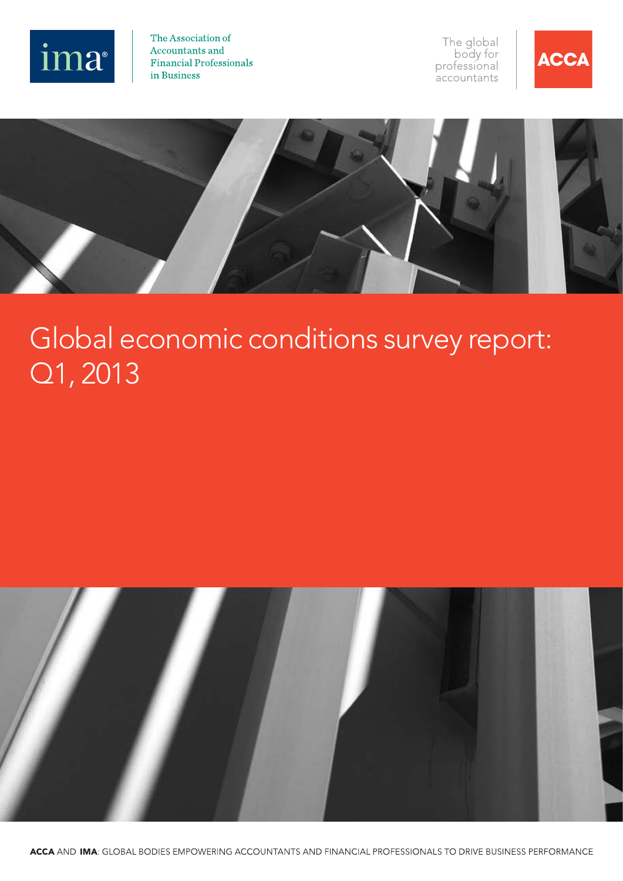

The Association of Accountants and **Financial Professionals** in Business

The global<br>body for professional .<br>accountants





# Global economic conditions survey report: Q1, 2013

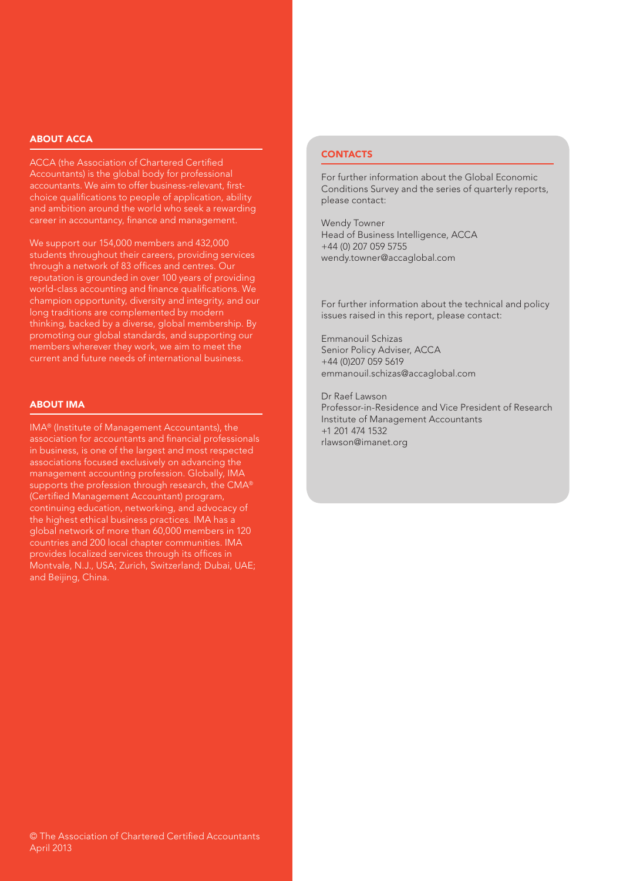#### ABOUT ACCA

ACCA (the Association of Chartered Certified Accountants) is the global body for professional accountants. We aim to offer business-relevant, firstchoice qualifications to people of application, ability and ambition around the world who seek a rewarding career in accountancy, finance and management.

We support our 154,000 members and 432,000 students throughout their careers, providing services through a network of 83 offices and centres. Our reputation is grounded in over 100 years of providing world-class accounting and finance qualifications. We champion opportunity, diversity and integrity, and our long traditions are complemented by modern thinking, backed by a diverse, global membership. By promoting our global standards, and supporting our current and future needs of international business.

#### ABOUT IMA

IMA® (Institute of Management Accountants), the association for accountants and financial professionals in business, is one of the largest and most respected associations focused exclusively on advancing the management accounting profession. Globally, IMA supports the profession through research, the CMA® (Certified Management Accountant) program, continuing education, networking, and advocacy of the highest ethical business practices. IMA has a global network of more than 60,000 members in 120 countries and 200 local chapter communities. IMA provides localized services through its offices in Montvale, N.J., USA; Zurich, Switzerland; Dubai, UAE; and Beijing, China.

### **CONTACTS**

For further information about the Global Economic Conditions Survey and the series of quarterly reports, please contact:

Wendy Towner Head of Business Intelligence, ACCA +44 (0) 207 059 5755 wendy.towner@accaglobal.com

For further information about the technical and policy issues raised in this report, please contact:

Emmanouil Schizas Senior Policy Adviser, ACCA +44 (0)207 059 5619 emmanouil.schizas@accaglobal.com

Dr Raef Lawson Professor-in-Residence and Vice President of Research Institute of Management Accountants +1 201 474 1532 rlawson@imanet.org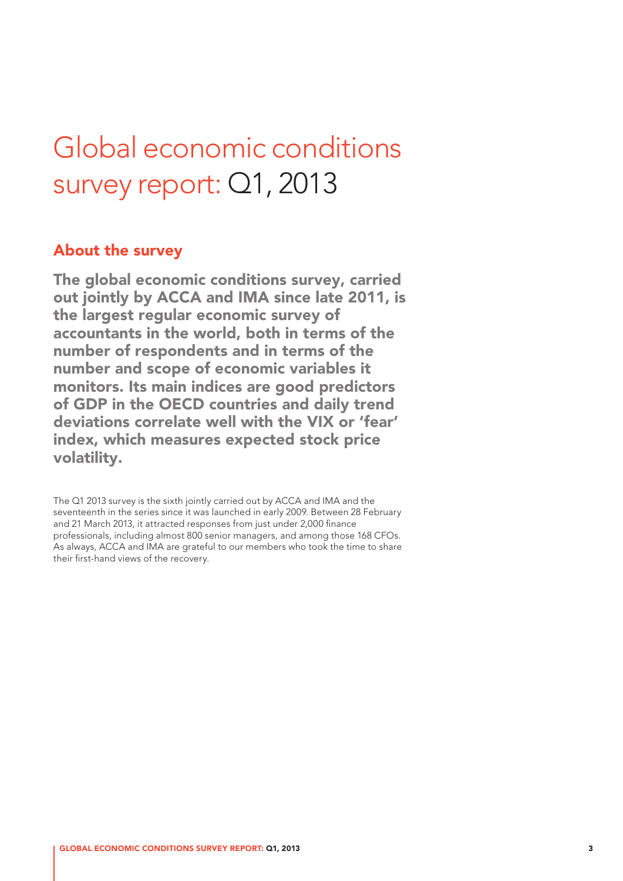# Global economic conditions survey report: Q1, 2013

## About the survey

The global economic conditions survey, carried out jointly by ACCA and IMA since late 2011, is the largest regular economic survey of accountants in the world, both in terms of the number of respondents and in terms of the number and scope of economic variables it monitors. Its main indices are good predictors of GDP in the OECD countries and daily trend deviations correlate well with the VIX or 'fear' index, which measures expected stock price volatility.

The Q1 2013 survey is the sixth jointly carried out by ACCA and IMA and the seventeenth in the series since it was launched in early 2009. Between 28 February and 21 March 2013, it attracted responses from just under 2,000 finance professionals, including almost 800 senior managers, and among those 168 CFOs. As always, ACCA and IMA are grateful to our members who took the time to share their first-hand views of the recovery.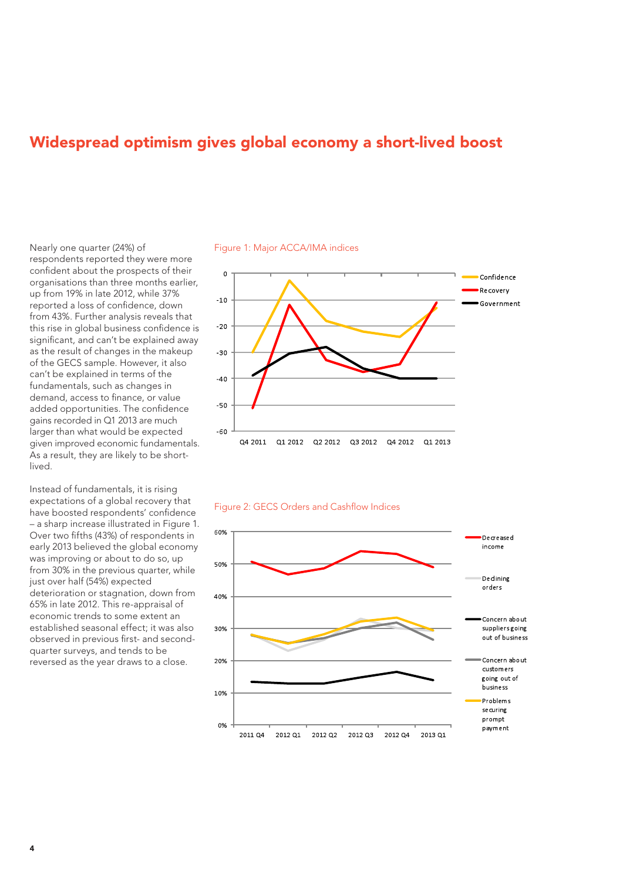# Widespread optimism gives global economy a short-lived boost

Nearly one quarter (24%) of respondents reported they were more confident about the prospects of their organisations than three months earlier, up from 19% in late 2012, while 37% reported a loss of confidence, down from 43%. Further analysis reveals that this rise in global business confidence is significant, and can't be explained away as the result of changes in the makeup of the GECS sample. However, it also can't be explained in terms of the fundamentals, such as changes in demand, access to finance, or value added opportunities. The confidence gains recorded in Q1 2013 are much larger than what would be expected given improved economic fundamentals. As a result, they are likely to be shortlived.

Instead of fundamentals, it is rising expectations of a global recovery that have boosted respondents' confidence – a sharp increase illustrated in Figure 1. Over two fifths (43%) of respondents in early 2013 believed the global economy was improving or about to do so, up from 30% in the previous quarter, while just over half (54%) expected deterioration or stagnation, down from 65% in late 2012. This re-appraisal of economic trends to some extent an established seasonal effect; it was also observed in previous first- and secondquarter surveys, and tends to be reversed as the year draws to a close.

Figure 1: Major ACCA/IMA indices





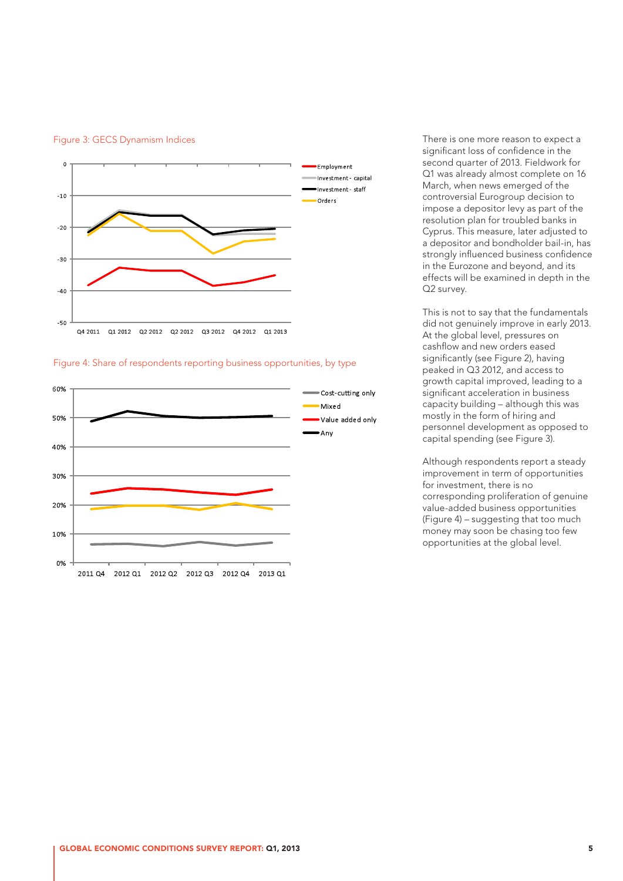



#### Figure 4: Share of respondents reporting business opportunities, by type



There is one more reason to expect a significant loss of confidence in the second quarter of 2013. Fieldwork for Q1 was already almost complete on 16 March, when news emerged of the controversial Eurogroup decision to impose a depositor levy as part of the resolution plan for troubled banks in Cyprus. This measure, later adjusted to a depositor and bondholder bail-in, has strongly influenced business confidence in the Eurozone and beyond, and its effects will be examined in depth in the Q2 survey.

This is not to say that the fundamentals did not genuinely improve in early 2013. At the global level, pressures on cashflow and new orders eased significantly (see Figure 2), having peaked in Q3 2012, and access to growth capital improved, leading to a significant acceleration in business capacity building – although this was mostly in the form of hiring and personnel development as opposed to capital spending (see Figure 3).

Although respondents report a steady improvement in term of opportunities for investment, there is no corresponding proliferation of genuine value-added business opportunities (Figure 4) – suggesting that too much money may soon be chasing too few opportunities at the global level.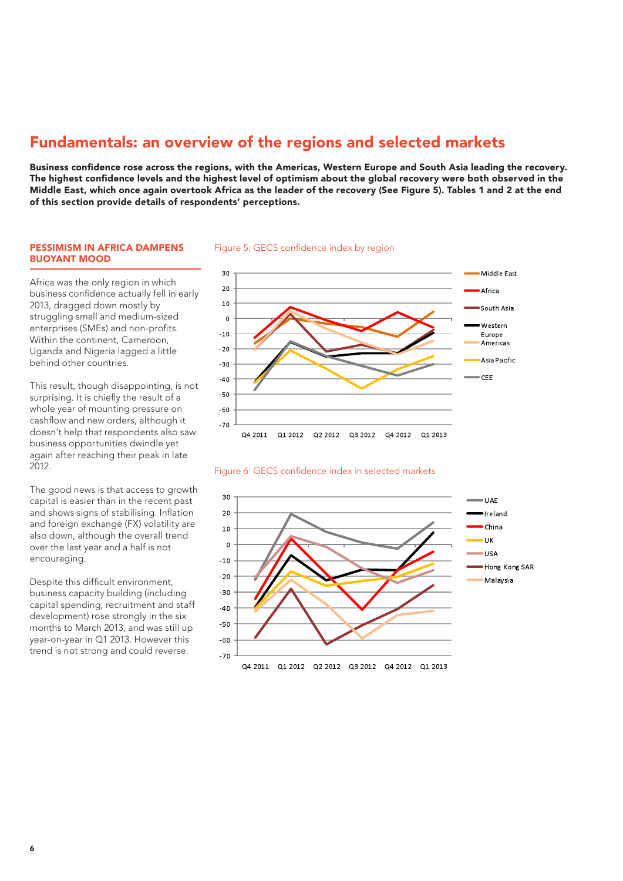# Fundamentals: an overview of the regions and selected markets

Business confidence rose across the regions, with the Americas, Western Europe and South Asia leading the recovery. The highest confidence levels and the highest level of optimism about the global recovery were both observed in the Middle East, which once again overtook Africa as the leader of the recovery (See Figure 5). Tables 1 and 2 at the end of this section provide details of respondents' perceptions.

#### PESSIMISM IN AFRICA DAMPENS BUOYANT MOOD

Africa was the only region in which business confidence actually fell in early 2013, dragged down mostly by struggling small and medium-sized enterprises (SMEs) and non-profits. Within the continent, Cameroon, Uganda and Nigeria lagged a little behind other countries.

This result, though disappointing, is not surprising. It is chiefly the result of a whole year of mounting pressure on cashflow and new orders, although it doesn't help that respondents also saw business opportunities dwindle yet again after reaching their peak in late 2012.

The good news is that access to growth capital is easier than in the recent past and shows signs of stabilising. Inflation and foreign exchange (FX) volatility are also down, although the overall trend over the last year and a half is not encouraging.

Despite this difficult environment, business capacity building (including capital spending, recruitment and staff development) rose strongly in the six months to March 2013, and was still up year-on-year in Q1 2013. However this trend is not strong and could reverse.

#### Figure 5: GECS confidence index by region



#### Figure 6: GECS confidence index in selected markets

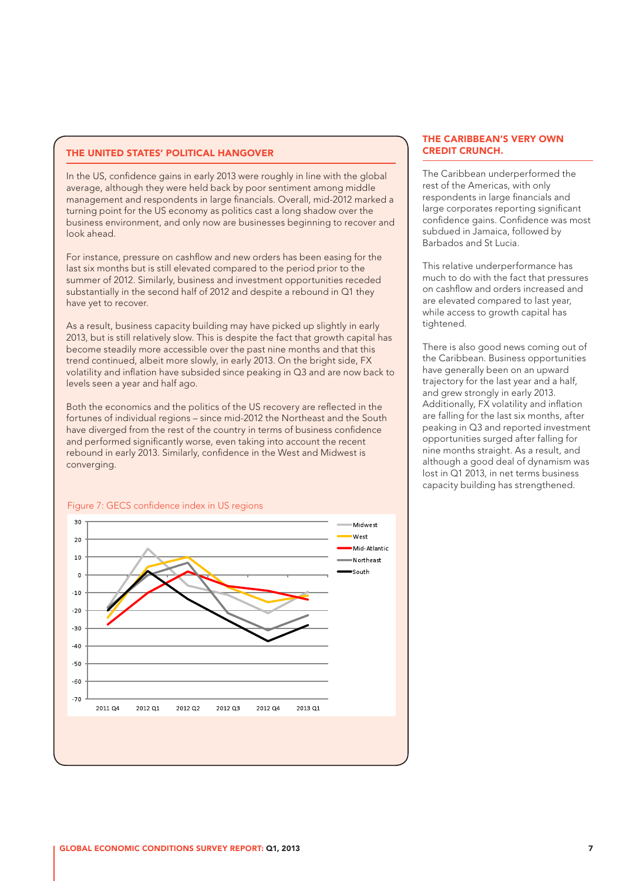#### THE UNITED STATES' POLITICAL HANGOVER

In the US, confidence gains in early 2013 were roughly in line with the global average, although they were held back by poor sentiment among middle management and respondents in large financials. Overall, mid-2012 marked a turning point for the US economy as politics cast a long shadow over the business environment, and only now are businesses beginning to recover and look ahead.

For instance, pressure on cashflow and new orders has been easing for the last six months but is still elevated compared to the period prior to the summer of 2012. Similarly, business and investment opportunities receded substantially in the second half of 2012 and despite a rebound in Q1 they have yet to recover.

As a result, business capacity building may have picked up slightly in early 2013, but is still relatively slow. This is despite the fact that growth capital has become steadily more accessible over the past nine months and that this trend continued, albeit more slowly, in early 2013. On the bright side, FX volatility and inflation have subsided since peaking in Q3 and are now back to levels seen a year and half ago.

Both the economics and the politics of the US recovery are reflected in the fortunes of individual regions – since mid-2012 the Northeast and the South have diverged from the rest of the country in terms of business confidence and performed significantly worse, even taking into account the recent rebound in early 2013. Similarly, confidence in the West and Midwest is converging.

#### 30 Midwect  $M$  $2<sub>c</sub>$ Mid-Atlantic  $10$ Northeast  $S$ outh  $\mathfrak{a}$  $-10$  $-20$  $-30$  $-40$  $-50$  $-60$  $-70$ 2011 04 2012 01 2012 02 2012 03 2012 04 2013 01

#### Figure 7: GECS confidence index in US regions

#### THE CARIBBEAN'S VERY OWN CREDIT CRUNCH.

The Caribbean underperformed the rest of the Americas, with only respondents in large financials and large corporates reporting significant confidence gains. Confidence was most subdued in Jamaica, followed by Barbados and St Lucia.

This relative underperformance has much to do with the fact that pressures on cashflow and orders increased and are elevated compared to last year, while access to growth capital has tightened.

There is also good news coming out of the Caribbean. Business opportunities have generally been on an upward trajectory for the last year and a half, and grew strongly in early 2013. Additionally, FX volatility and inflation are falling for the last six months, after peaking in Q3 and reported investment opportunities surged after falling for nine months straight. As a result, and although a good deal of dynamism was lost in Q1 2013, in net terms business capacity building has strengthened.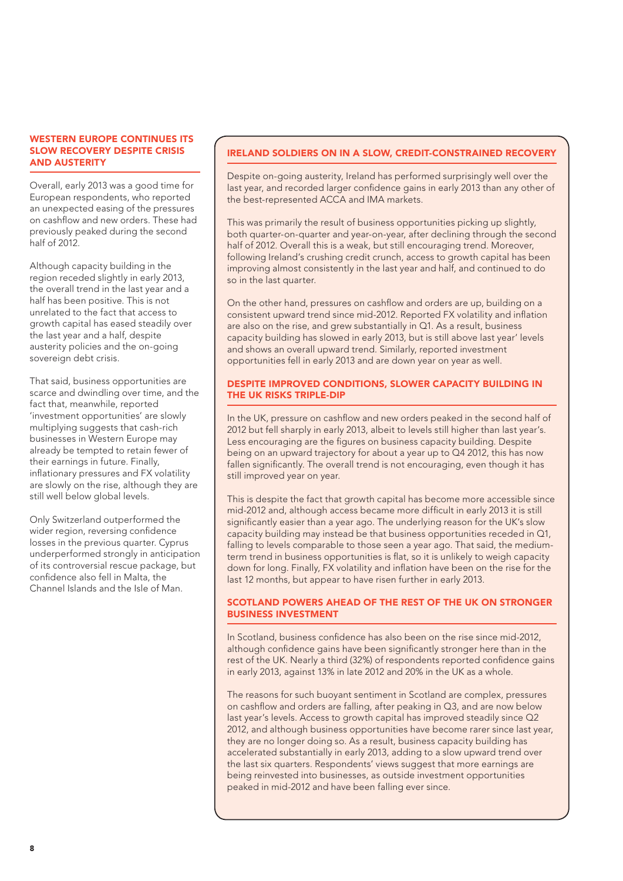#### WESTERN EUROPE CONTINUES ITS SLOW RECOVERY DESPITE CRISIS AND AUSTERITY

Overall, early 2013 was a good time for European respondents, who reported an unexpected easing of the pressures on cashflow and new orders. These had previously peaked during the second half of 2012.

Although capacity building in the region receded slightly in early 2013, the overall trend in the last year and a half has been positive. This is not unrelated to the fact that access to growth capital has eased steadily over the last year and a half, despite austerity policies and the on-going sovereign debt crisis.

That said, business opportunities are scarce and dwindling over time, and the fact that, meanwhile, reported 'investment opportunities' are slowly multiplying suggests that cash-rich businesses in Western Europe may already be tempted to retain fewer of their earnings in future. Finally, inflationary pressures and FX volatility are slowly on the rise, although they are still well below global levels.

Only Switzerland outperformed the wider region, reversing confidence losses in the previous quarter. Cyprus underperformed strongly in anticipation of its controversial rescue package, but confidence also fell in Malta, the Channel Islands and the Isle of Man.

#### IRELAND SOLDIERS ON IN A SLOW, CREDIT-CONSTRAINED RECOVERY

Despite on-going austerity, Ireland has performed surprisingly well over the last year, and recorded larger confidence gains in early 2013 than any other of the best-represented ACCA and IMA markets.

This was primarily the result of business opportunities picking up slightly, both quarter-on-quarter and year-on-year, after declining through the second half of 2012. Overall this is a weak, but still encouraging trend. Moreover, following Ireland's crushing credit crunch, access to growth capital has been improving almost consistently in the last year and half, and continued to do so in the last quarter.

On the other hand, pressures on cashflow and orders are up, building on a consistent upward trend since mid-2012. Reported FX volatility and inflation are also on the rise, and grew substantially in Q1. As a result, business capacity building has slowed in early 2013, but is still above last year' levels and shows an overall upward trend. Similarly, reported investment opportunities fell in early 2013 and are down year on year as well.

#### DESPITE IMPROVED CONDITIONS, SLOWER CAPACITY BUILDING IN THE UK RISKS TRIPLE-DIP

In the UK, pressure on cashflow and new orders peaked in the second half of 2012 but fell sharply in early 2013, albeit to levels still higher than last year's. Less encouraging are the figures on business capacity building. Despite being on an upward trajectory for about a year up to Q4 2012, this has now fallen significantly. The overall trend is not encouraging, even though it has still improved year on year.

This is despite the fact that growth capital has become more accessible since mid-2012 and, although access became more difficult in early 2013 it is still significantly easier than a year ago. The underlying reason for the UK's slow capacity building may instead be that business opportunities receded in Q1, falling to levels comparable to those seen a year ago. That said, the mediumterm trend in business opportunities is flat, so it is unlikely to weigh capacity down for long. Finally, FX volatility and inflation have been on the rise for the last 12 months, but appear to have risen further in early 2013.

#### SCOTLAND POWERS AHEAD OF THE REST OF THE UK ON STRONGER BUSINESS INVESTMENT

In Scotland, business confidence has also been on the rise since mid-2012, although confidence gains have been significantly stronger here than in the rest of the UK. Nearly a third (32%) of respondents reported confidence gains in early 2013, against 13% in late 2012 and 20% in the UK as a whole.

The reasons for such buoyant sentiment in Scotland are complex, pressures on cashflow and orders are falling, after peaking in Q3, and are now below last year's levels. Access to growth capital has improved steadily since Q2 2012, and although business opportunities have become rarer since last year, they are no longer doing so. As a result, business capacity building has accelerated substantially in early 2013, adding to a slow upward trend over the last six quarters. Respondents' views suggest that more earnings are being reinvested into businesses, as outside investment opportunities peaked in mid-2012 and have been falling ever since.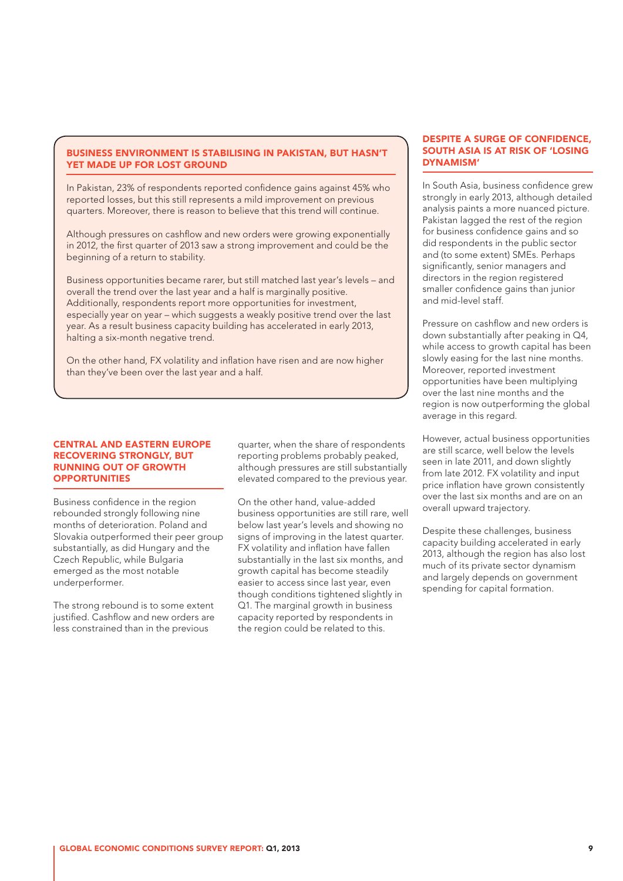#### BUSINESS ENVIRONMENT IS STABILISING IN PAKISTAN, BUT HASN'T YET MADE UP FOR LOST GROUND

In Pakistan, 23% of respondents reported confidence gains against 45% who reported losses, but this still represents a mild improvement on previous quarters. Moreover, there is reason to believe that this trend will continue.

Although pressures on cashflow and new orders were growing exponentially in 2012, the first quarter of 2013 saw a strong improvement and could be the beginning of a return to stability.

Business opportunities became rarer, but still matched last year's levels – and overall the trend over the last year and a half is marginally positive. Additionally, respondents report more opportunities for investment, especially year on year – which suggests a weakly positive trend over the last year. As a result business capacity building has accelerated in early 2013, halting a six-month negative trend.

On the other hand, FX volatility and inflation have risen and are now higher than they've been over the last year and a half.

#### CENTRAL AND EASTERN EUROPE RECOVERING STRONGLY, BUT RUNNING OUT OF GROWTH **OPPORTUNITIES**

Business confidence in the region rebounded strongly following nine months of deterioration. Poland and Slovakia outperformed their peer group substantially, as did Hungary and the Czech Republic, while Bulgaria emerged as the most notable underperformer.

The strong rebound is to some extent justified. Cashflow and new orders are less constrained than in the previous

quarter, when the share of respondents reporting problems probably peaked, although pressures are still substantially elevated compared to the previous year.

On the other hand, value-added business opportunities are still rare, well below last year's levels and showing no signs of improving in the latest quarter. FX volatility and inflation have fallen substantially in the last six months, and growth capital has become steadily easier to access since last year, even though conditions tightened slightly in Q1. The marginal growth in business capacity reported by respondents in the region could be related to this.

#### DESPITE A SURGE OF CONFIDENCE, SOUTH ASIA IS AT RISK OF 'LOSING DYNAMISM'

In South Asia, business confidence grew strongly in early 2013, although detailed analysis paints a more nuanced picture. Pakistan lagged the rest of the region for business confidence gains and so did respondents in the public sector and (to some extent) SMEs. Perhaps significantly, senior managers and directors in the region registered smaller confidence gains than junior and mid-level staff.

Pressure on cashflow and new orders is down substantially after peaking in Q4, while access to growth capital has been slowly easing for the last nine months. Moreover, reported investment opportunities have been multiplying over the last nine months and the region is now outperforming the global average in this regard.

However, actual business opportunities are still scarce, well below the levels seen in late 2011, and down slightly from late 2012. FX volatility and input price inflation have grown consistently over the last six months and are on an overall upward trajectory.

Despite these challenges, business capacity building accelerated in early 2013, although the region has also lost much of its private sector dynamism and largely depends on government spending for capital formation.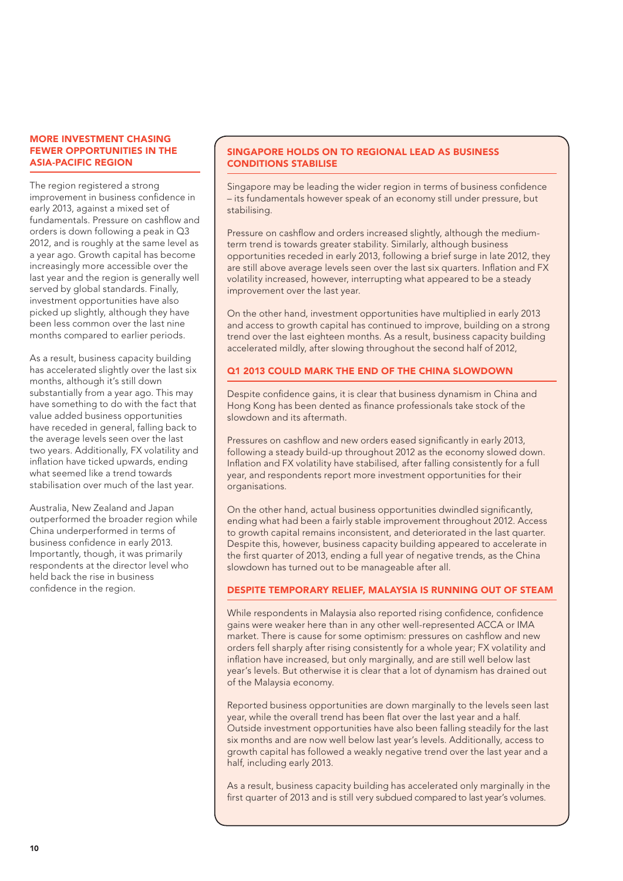#### MORE INVESTMENT CHASING FEWER OPPORTUNITIES IN THE ASIA-PACIFIC REGION

The region registered a strong improvement in business confidence in early 2013, against a mixed set of fundamentals. Pressure on cashflow and orders is down following a peak in Q3 2012, and is roughly at the same level as a year ago. Growth capital has become increasingly more accessible over the last year and the region is generally well served by global standards. Finally, investment opportunities have also picked up slightly, although they have been less common over the last nine months compared to earlier periods.

As a result, business capacity building has accelerated slightly over the last six months, although it's still down substantially from a year ago. This may have something to do with the fact that value added business opportunities have receded in general, falling back to the average levels seen over the last two years. Additionally, FX volatility and inflation have ticked upwards, ending what seemed like a trend towards stabilisation over much of the last year.

Australia, New Zealand and Japan outperformed the broader region while China underperformed in terms of business confidence in early 2013. Importantly, though, it was primarily respondents at the director level who held back the rise in business confidence in the region.

#### SINGAPORE HOLDS ON TO REGIONAL LEAD AS BUSINESS CONDITIONS STABILISE

Singapore may be leading the wider region in terms of business confidence – its fundamentals however speak of an economy still under pressure, but stabilising.

Pressure on cashflow and orders increased slightly, although the mediumterm trend is towards greater stability. Similarly, although business opportunities receded in early 2013, following a brief surge in late 2012, they are still above average levels seen over the last six quarters. Inflation and FX volatility increased, however, interrupting what appeared to be a steady improvement over the last year.

On the other hand, investment opportunities have multiplied in early 2013 and access to growth capital has continued to improve, building on a strong trend over the last eighteen months. As a result, business capacity building accelerated mildly, after slowing throughout the second half of 2012,

## Q1 2013 COULD MARK THE END OF THE CHINA SLOWDOWN

Despite confidence gains, it is clear that business dynamism in China and Hong Kong has been dented as finance professionals take stock of the slowdown and its aftermath.

Pressures on cashflow and new orders eased significantly in early 2013, following a steady build-up throughout 2012 as the economy slowed down. Inflation and FX volatility have stabilised, after falling consistently for a full year, and respondents report more investment opportunities for their organisations.

On the other hand, actual business opportunities dwindled significantly, ending what had been a fairly stable improvement throughout 2012. Access to growth capital remains inconsistent, and deteriorated in the last quarter. Despite this, however, business capacity building appeared to accelerate in the first quarter of 2013, ending a full year of negative trends, as the China slowdown has turned out to be manageable after all.

#### DESPITE TEMPORARY RELIEF, MALAYSIA IS RUNNING OUT OF STEAM

While respondents in Malaysia also reported rising confidence, confidence gains were weaker here than in any other well-represented ACCA or IMA market. There is cause for some optimism: pressures on cashflow and new orders fell sharply after rising consistently for a whole year; FX volatility and inflation have increased, but only marginally, and are still well below last year's levels. But otherwise it is clear that a lot of dynamism has drained out of the Malaysia economy.

Reported business opportunities are down marginally to the levels seen last year, while the overall trend has been flat over the last year and a half. Outside investment opportunities have also been falling steadily for the last six months and are now well below last year's levels. Additionally, access to growth capital has followed a weakly negative trend over the last year and a half, including early 2013.

As a result, business capacity building has accelerated only marginally in the first quarter of 2013 and is still very subdued compared to last year's volumes.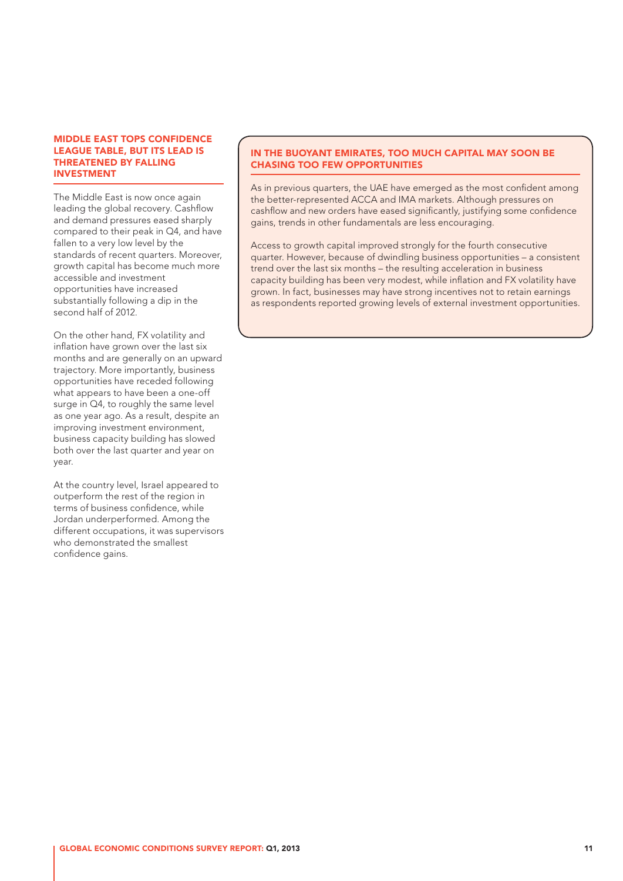#### MIDDLE EAST TOPS CONFIDENCE LEAGUE TABLE, BUT ITS LEAD IS THREATENED BY FALLING INVESTMENT

The Middle East is now once again leading the global recovery. Cashflow and demand pressures eased sharply compared to their peak in Q4, and have fallen to a very low level by the standards of recent quarters. Moreover, growth capital has become much more accessible and investment opportunities have increased substantially following a dip in the second half of 2012.

On the other hand, FX volatility and inflation have grown over the last six months and are generally on an upward trajectory. More importantly, business opportunities have receded following what appears to have been a one-off surge in Q4, to roughly the same level as one year ago. As a result, despite an improving investment environment, business capacity building has slowed both over the last quarter and year on year.

At the country level, Israel appeared to outperform the rest of the region in terms of business confidence, while Jordan underperformed. Among the different occupations, it was supervisors who demonstrated the smallest confidence gains.

#### IN THE BUOYANT EMIRATES, TOO MUCH CAPITAL MAY SOON BE CHASING TOO FEW OPPORTUNITIES

As in previous quarters, the UAE have emerged as the most confident among the better-represented ACCA and IMA markets. Although pressures on cashflow and new orders have eased significantly, justifying some confidence gains, trends in other fundamentals are less encouraging.

Access to growth capital improved strongly for the fourth consecutive quarter. However, because of dwindling business opportunities – a consistent trend over the last six months – the resulting acceleration in business capacity building has been very modest, while inflation and FX volatility have grown. In fact, businesses may have strong incentives not to retain earnings as respondents reported growing levels of external investment opportunities.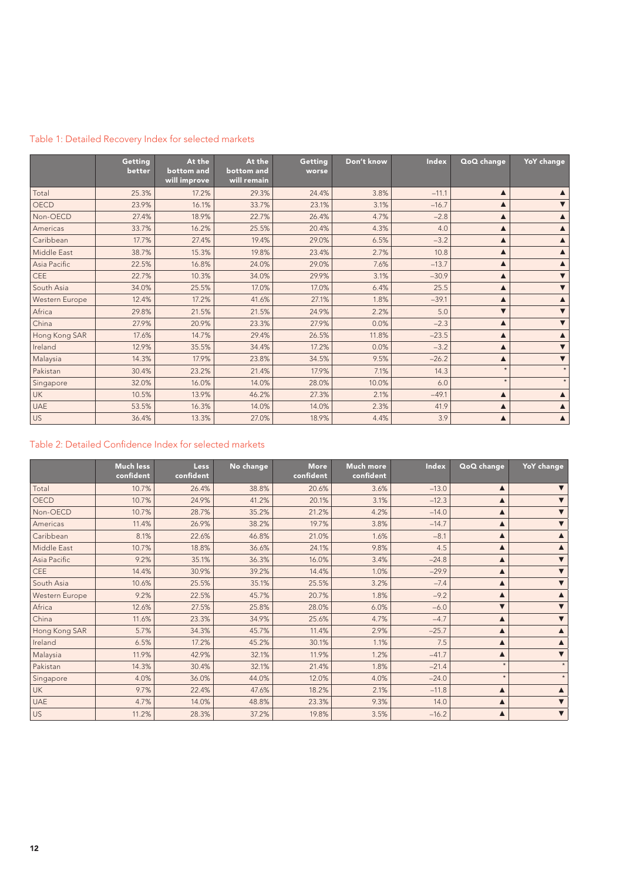|                | Getting<br>better | At the<br>bottom and<br>will improve | At the<br>bottom and<br>will remain | Getting<br>worse | Don't know | <b>Index</b> | QoQ change           | <b>YoY</b> change    |
|----------------|-------------------|--------------------------------------|-------------------------------------|------------------|------------|--------------|----------------------|----------------------|
| Total          | 25.3%             | 17.2%                                | 29.3%                               | 24.4%            | 3.8%       | $-11.1$      | ▲                    |                      |
| <b>OECD</b>    | 23.9%             | 16.1%                                | 33.7%                               | 23.1%            | 3.1%       | $-16.7$      | ▲                    | $\blacktriangledown$ |
| Non-OECD       | 27.4%             | 18.9%                                | 22.7%                               | 26.4%            | 4.7%       | $-2.8$       | ▲                    | $\blacktriangle$     |
| Americas       | 33.7%             | 16.2%                                | 25.5%                               | 20.4%            | 4.3%       | 4.0          | ▲                    | $\blacktriangle$     |
| Caribbean      | 17.7%             | 27.4%                                | 19.4%                               | 29.0%            | 6.5%       | $-3.2$       | ▲                    | $\blacktriangle$     |
| Middle East    | 38.7%             | 15.3%                                | 19.8%                               | 23.4%            | 2.7%       | 10.8         | ▲                    | $\blacktriangle$     |
| Asia Pacific   | 22.5%             | 16.8%                                | 24.0%                               | 29.0%            | 7.6%       | $-13.7$      | ▲                    | $\blacktriangle$     |
| CEE            | 22.7%             | 10.3%                                | 34.0%                               | 29.9%            | 3.1%       | $-30.9$      | ▲                    | $\blacktriangledown$ |
| South Asia     | 34.0%             | 25.5%                                | 17.0%                               | 17.0%            | 6.4%       | 25.5         | ▲                    | $\blacktriangledown$ |
| Western Europe | 12.4%             | 17.2%                                | 41.6%                               | 27.1%            | 1.8%       | $-39.1$      | $\blacktriangle$     | $\blacktriangle$     |
| Africa         | 29.8%             | 21.5%                                | 21.5%                               | 24.9%            | 2.2%       | 5.0          | $\blacktriangledown$ | $\blacktriangledown$ |
| China          | 27.9%             | 20.9%                                | 23.3%                               | 27.9%            | 0.0%       | $-2.3$       | ▲                    | $\blacktriangledown$ |
| Hong Kong SAR  | 17.6%             | 14.7%                                | 29.4%                               | 26.5%            | 11.8%      | $-23.5$      | ▲                    | $\blacktriangle$     |
| Ireland        | 12.9%             | 35.5%                                | 34.4%                               | 17.2%            | 0.0%       | $-3.2$       | ▲                    | $\blacktriangledown$ |
| Malaysia       | 14.3%             | 17.9%                                | 23.8%                               | 34.5%            | 9.5%       | $-26.2$      | ▲                    | $\blacktriangledown$ |
| Pakistan       | 30.4%             | 23.2%                                | 21.4%                               | 17.9%            | 7.1%       | 14.3         | $\star$              | $\star$              |
| Singapore      | 32.0%             | 16.0%                                | 14.0%                               | 28.0%            | 10.0%      | 6.0          | $\star$              | $\star$              |
| <b>UK</b>      | 10.5%             | 13.9%                                | 46.2%                               | 27.3%            | 2.1%       | $-49.1$      | ▲                    | $\blacktriangle$     |
| <b>UAE</b>     | 53.5%             | 16.3%                                | 14.0%                               | 14.0%            | 2.3%       | 41.9         | ▲                    | $\blacktriangle$     |
| <b>US</b>      | 36.4%             | 13.3%                                | 27.0%                               | 18.9%            | 4.4%       | 3.9          | ▲                    | $\blacktriangle$     |

## Table 1: Detailed Recovery Index for selected markets

## Table 2: Detailed Confidence Index for selected markets

|                | <b>Much less</b><br>confident | <b>Less</b><br>confident | No change | <b>More</b><br>confident | Much more<br>confident | Index   | QoQ change           | <b>YoY</b> change    |
|----------------|-------------------------------|--------------------------|-----------|--------------------------|------------------------|---------|----------------------|----------------------|
| Total          | 10.7%                         | 26.4%                    | 38.8%     | 20.6%                    | 3.6%                   | $-13.0$ | ▲                    |                      |
| OECD           | 10.7%                         | 24.9%                    | 41.2%     | 20.1%                    | 3.1%                   | $-12.3$ | ▲                    |                      |
| Non-OECD       | 10.7%                         | 28.7%                    | 35.2%     | 21.2%                    | 4.2%                   | $-14.0$ | ▲                    |                      |
| Americas       | 11.4%                         | 26.9%                    | 38.2%     | 19.7%                    | 3.8%                   | $-14.7$ | ▲                    | ▼                    |
| Caribbean      | 8.1%                          | 22.6%                    | 46.8%     | 21.0%                    | 1.6%                   | $-8.1$  | ▲                    |                      |
| Middle East    | 10.7%                         | 18.8%                    | 36.6%     | 24.1%                    | 9.8%                   | 4.5     | ▲                    |                      |
| Asia Pacific   | 9.2%                          | 35.1%                    | 36.3%     | 16.0%                    | 3.4%                   | $-24.8$ | ▲                    | $\blacktriangledown$ |
| <b>CEE</b>     | 14.4%                         | 30.9%                    | 39.2%     | 14.4%                    | 1.0%                   | $-29.9$ | ▲                    |                      |
| South Asia     | 10.6%                         | 25.5%                    | 35.1%     | 25.5%                    | 3.2%                   | $-7.4$  | ▲                    | ▼                    |
| Western Europe | 9.2%                          | 22.5%                    | 45.7%     | 20.7%                    | 1.8%                   | $-9.2$  | ▲                    |                      |
| Africa         | 12.6%                         | 27.5%                    | 25.8%     | 28.0%                    | 6.0%                   | $-6.0$  | $\blacktriangledown$ |                      |
| China          | 11.6%                         | 23.3%                    | 34.9%     | 25.6%                    | 4.7%                   | $-4.7$  | ▲                    | $\blacktriangledown$ |
| Hong Kong SAR  | 5.7%                          | 34.3%                    | 45.7%     | 11.4%                    | 2.9%                   | $-25.7$ | ▲                    |                      |
| Ireland        | 6.5%                          | 17.2%                    | 45.2%     | 30.1%                    | 1.1%                   | 7.5     | ▲                    |                      |
| Malaysia       | 11.9%                         | 42.9%                    | 32.1%     | 11.9%                    | 1.2%                   | $-41.7$ | ▲                    | ▼                    |
| Pakistan       | 14.3%                         | 30.4%                    | 32.1%     | 21.4%                    | 1.8%                   | $-21.4$ | $\star$              | $\star$              |
| Singapore      | 4.0%                          | 36.0%                    | 44.0%     | 12.0%                    | 4.0%                   | $-24.0$ | $\star$              | $\star$              |
| <b>UK</b>      | 9.7%                          | 22.4%                    | 47.6%     | 18.2%                    | 2.1%                   | $-11.8$ | ▲                    |                      |
| <b>UAE</b>     | 4.7%                          | 14.0%                    | 48.8%     | 23.3%                    | 9.3%                   | 14.0    | $\blacktriangle$     | $\blacktriangledown$ |
| US <sub></sub> | 11.2%                         | 28.3%                    | 37.2%     | 19.8%                    | 3.5%                   | $-16.2$ | ▲                    | $\blacktriangledown$ |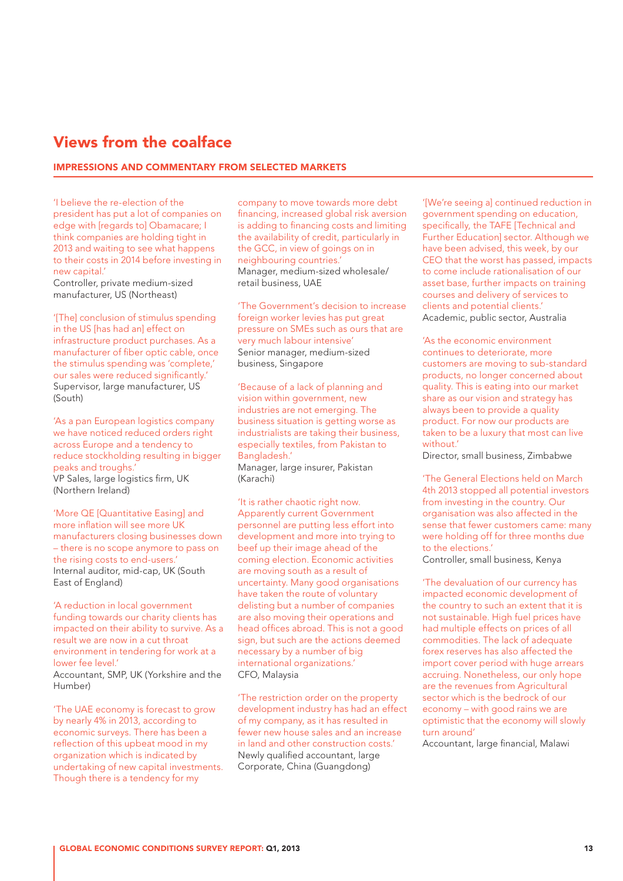## Views from the coalface

#### IMPRESSIONS AND COMMENTARY FROM SELECTED MARKETS

'I believe the re-election of the president has put a lot of companies on edge with [regards to] Obamacare; I think companies are holding tight in 2013 and waiting to see what happens to their costs in 2014 before investing in new capital.'

Controller, private medium-sized manufacturer, US (Northeast)

'[The] conclusion of stimulus spending in the US [has had an] effect on infrastructure product purchases. As a manufacturer of fiber optic cable, once the stimulus spending was 'complete,' our sales were reduced significantly. Supervisor, large manufacturer, US (South)

'As a pan European logistics company we have noticed reduced orders right across Europe and a tendency to reduce stockholding resulting in bigger peaks and troughs.' VP Sales, large logistics firm, UK (Northern Ireland)

'More QE [Quantitative Easing] and more inflation will see more UK manufacturers closing businesses down – there is no scope anymore to pass on the rising costs to end-users.' Internal auditor, mid-cap, UK (South East of England)

'A reduction in local government funding towards our charity clients has impacted on their ability to survive. As a result we are now in a cut throat environment in tendering for work at a lower fee level.'

Accountant, SMP, UK (Yorkshire and the Humber)

'The UAE economy is forecast to grow by nearly 4% in 2013, according to economic surveys. There has been a reflection of this upbeat mood in my organization which is indicated by undertaking of new capital investments. Though there is a tendency for my

company to move towards more debt financing, increased global risk aversion is adding to financing costs and limiting the availability of credit, particularly in the GCC, in view of goings on in neighbouring countries.' Manager, medium-sized wholesale/ retail business, UAE

'The Government's decision to increase foreign worker levies has put great pressure on SMEs such as ours that are very much labour intensive' Senior manager, medium-sized business, Singapore

'Because of a lack of planning and vision within government, new industries are not emerging. The business situation is getting worse as industrialists are taking their business, especially textiles, from Pakistan to Bangladesh.'

Manager, large insurer, Pakistan (Karachi)

'It is rather chaotic right now. Apparently current Government personnel are putting less effort into development and more into trying to beef up their image ahead of the coming election. Economic activities are moving south as a result of uncertainty. Many good organisations have taken the route of voluntary delisting but a number of companies are also moving their operations and head offices abroad. This is not a good sign, but such are the actions deemed necessary by a number of big international organizations.' CFO, Malaysia

'The restriction order on the property development industry has had an effect of my company, as it has resulted in fewer new house sales and an increase in land and other construction costs.' Newly qualified accountant, large Corporate, China (Guangdong)

'[We're seeing a] continued reduction in government spending on education, specifically, the TAFE [Technical and Further Education] sector. Although we have been advised, this week, by our CEO that the worst has passed, impacts to come include rationalisation of our asset base, further impacts on training courses and delivery of services to clients and potential clients.' Academic, public sector, Australia

'As the economic environment continues to deteriorate, more customers are moving to sub-standard products, no longer concerned about quality. This is eating into our market share as our vision and strategy has always been to provide a quality product. For now our products are taken to be a luxury that most can live without.'

Director, small business, Zimbabwe

'The General Elections held on March 4th 2013 stopped all potential investors from investing in the country. Our organisation was also affected in the sense that fewer customers came: many were holding off for three months due to the elections.' Controller, small business, Kenya

'The devaluation of our currency has impacted economic development of the country to such an extent that it is not sustainable. High fuel prices have had multiple effects on prices of all commodities. The lack of adequate forex reserves has also affected the import cover period with huge arrears accruing. Nonetheless, our only hope are the revenues from Agricultural sector which is the bedrock of our economy – with good rains we are optimistic that the economy will slowly turn around'

Accountant, large financial, Malawi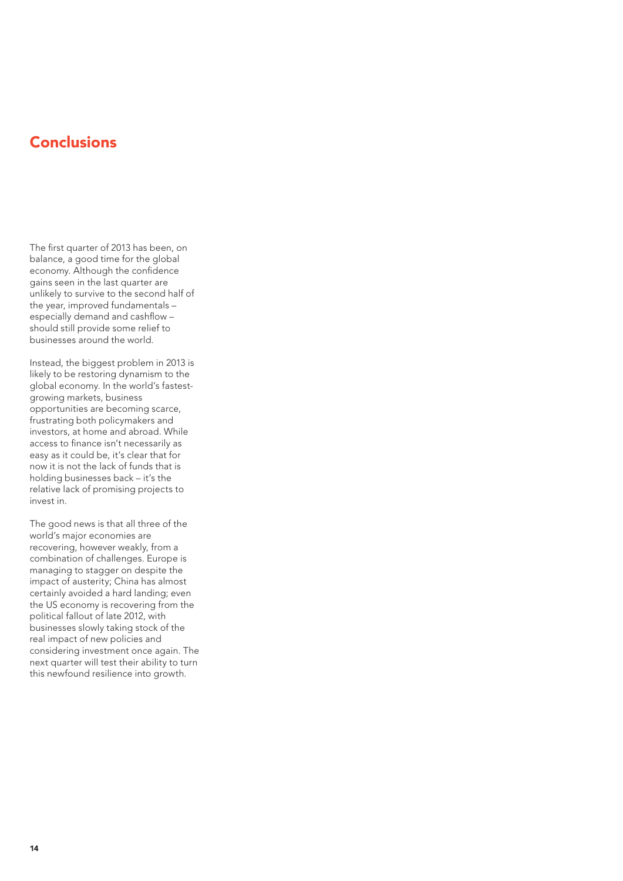# **Conclusions**

The first quarter of 2013 has been, on balance, a good time for the global economy. Although the confidence gains seen in the last quarter are unlikely to survive to the second half of the year, improved fundamentals – especially demand and cashflow – should still provide some relief to businesses around the world.

Instead, the biggest problem in 2013 is likely to be restoring dynamism to the global economy. In the world's fastestgrowing markets, business opportunities are becoming scarce, frustrating both policymakers and investors, at home and abroad. While access to finance isn't necessarily as easy as it could be, it's clear that for now it is not the lack of funds that is holding businesses back – it's the relative lack of promising projects to invest in.

The good news is that all three of the world's major economies are recovering, however weakly, from a combination of challenges. Europe is managing to stagger on despite the impact of austerity; China has almost manuscription and the certainly avoided a hard landing; even the US economy is recovering from the political fallout of late 2012, with businesses slowly taking stock of the real impact of new policies and considering investment once again. The next quarter will test their ability to turn this newfound resilience into growth.